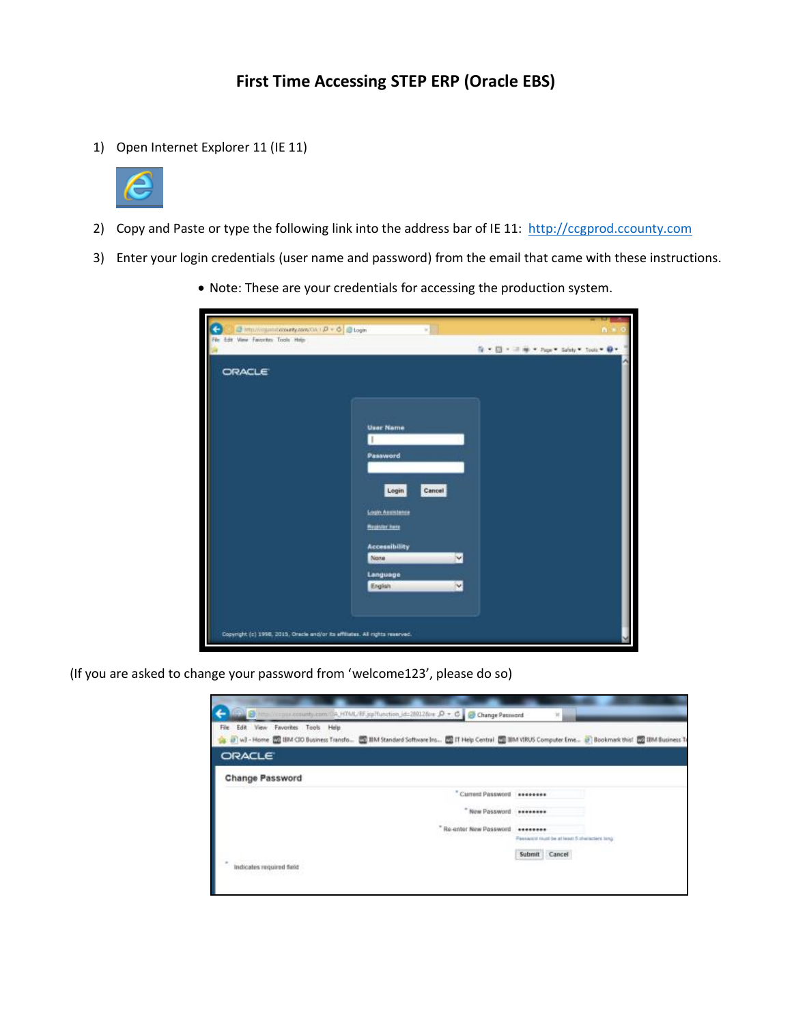## **First Time Accessing STEP ERP (Oracle EBS)**

1) Open Internet Explorer 11 (IE 11)



- 2) Copy and Paste or type the following link into the address bar of IE 11: [http://ccgprod.ccounty.com](http://ccgprod.ccounty.com/)
- 3) Enter your login credentials (user name and password) from the email that came with these instructions.
	- Note: These are your credentials for accessing the production system.

| 3 Mail/inpetitionary.com/OA   D + O   D Login                                | ×                             | n                                         |
|------------------------------------------------------------------------------|-------------------------------|-------------------------------------------|
| File Edit View Favorites Tools Help-                                         |                               | fi = 图 = 三单 = Page = Salety = Tools → D = |
| <b>ORACLE</b>                                                                |                               |                                           |
|                                                                              |                               |                                           |
|                                                                              | <b>User Name</b>              |                                           |
|                                                                              | Password.                     |                                           |
|                                                                              | Cancel<br>Login               |                                           |
|                                                                              | <b>Login Assistance</b>       |                                           |
|                                                                              | <b>Heploter hare</b>          |                                           |
|                                                                              | <b>Accessibility</b><br>None: | V                                         |
|                                                                              | Language<br>English           | V                                         |
|                                                                              |                               |                                           |
| Copyright (c) 1998, 2015, Oracle and/or its affiliates. All rights reserved. |                               |                                           |
|                                                                              |                               |                                           |

(If you are asked to change your password from 'welcome123', please do so)

| Dimention pulses and provided HTML/RF, john chief, id=200126cm D + C C Change Password<br>Edit View Favorites Tools Help<br>File                                   | 'n                                            |  |  |
|--------------------------------------------------------------------------------------------------------------------------------------------------------------------|-----------------------------------------------|--|--|
| ▲ B w3 - Home 图 IBM CIO Business Transfo 图 IBM Standard Software Ins 图 IT Help Central 图 IBM NRUS Computer Eme B Bookmark this! 图 IBM Business Tr<br><b>ORACLE</b> |                                               |  |  |
| <b>Change Password</b>                                                                                                                                             |                                               |  |  |
| " Current Password ********                                                                                                                                        |                                               |  |  |
| New Password ********                                                                                                                                              |                                               |  |  |
| "Re-enter New Password                                                                                                                                             | Passward routd be at least 5 characters tong. |  |  |
|                                                                                                                                                                    | Submit Cancel                                 |  |  |
| $\sim$<br>indicates required field<br>일정 아버지는 상승 이 사람이 아이라.                                                                                                        |                                               |  |  |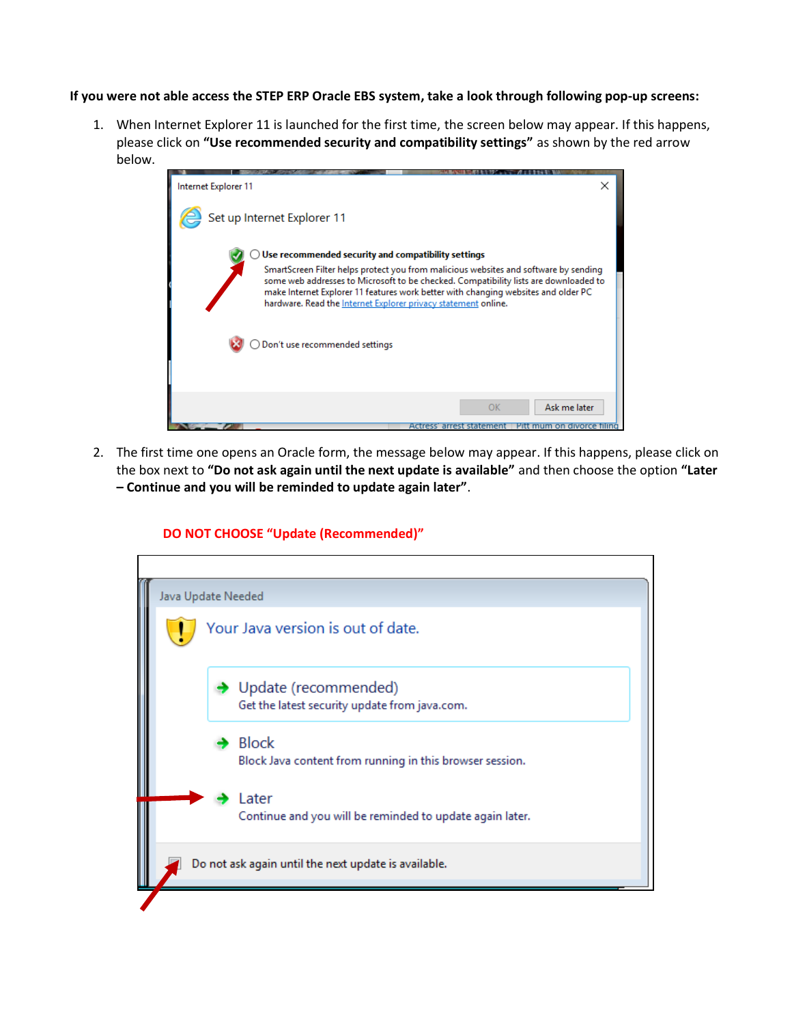**If you were not able access the STEP ERP Oracle EBS system, take a look through following pop-up screens:** 

1. When Internet Explorer 11 is launched for the first time, the screen below may appear. If this happens, please click on **"Use recommended security and compatibility settings"** as shown by the red arrow below.



2. The first time one opens an Oracle form, the message below may appear. If this happens, please click on the box next to **"Do not ask again until the next update is available"** and then choose the option **"Later – Continue and you will be reminded to update again later"**.

## **DO NOT CHOOSE "Update (Recommended)"**

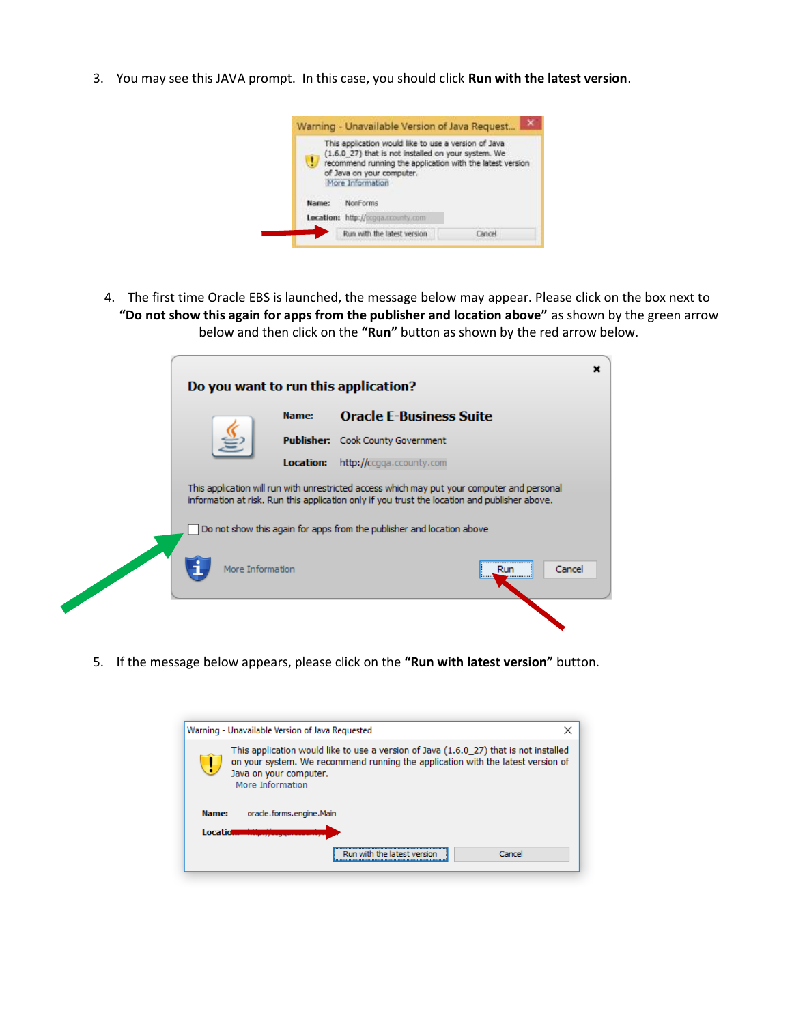3. You may see this JAVA prompt. In this case, you should click **Run with the latest version**.



4. The first time Oracle EBS is launched, the message below may appear. Please click on the box next to **"Do not show this again for apps from the publisher and location above"** as shown by the green arrow below and then click on the **"Run"** button as shown by the red arrow below.

| Do you want to run this application? |                                                                                                                                                                                              | ×                                 |
|--------------------------------------|----------------------------------------------------------------------------------------------------------------------------------------------------------------------------------------------|-----------------------------------|
|                                      | Name:                                                                                                                                                                                        | <b>Oracle E-Business Suite</b>    |
|                                      |                                                                                                                                                                                              | Publisher: Cook County Government |
|                                      | <b>Location:</b>                                                                                                                                                                             | http://ccqqa.ccounty.com          |
|                                      | This application will run with unrestricted access which may put your computer and personal<br>information at risk. Run this application only if you trust the location and publisher above. |                                   |
|                                      | Do not show this again for apps from the publisher and location above                                                                                                                        |                                   |
| More Information                     |                                                                                                                                                                                              | Cancel<br>Run<br>                 |
|                                      |                                                                                                                                                                                              |                                   |

5. If the message below appears, please click on the **"Run with latest version"** button.

|                                                                                                                                                                                                                        | Warning - Unavailable Version of Java Requested | × |  |
|------------------------------------------------------------------------------------------------------------------------------------------------------------------------------------------------------------------------|-------------------------------------------------|---|--|
| This application would like to use a version of Java (1.6.0 27) that is not installed<br>on your system. We recommend running the application with the latest version of<br>Java on your computer.<br>More Information |                                                 |   |  |
| Name:<br>oracle, forms, engine, Main<br><b>Locatid</b>                                                                                                                                                                 |                                                 |   |  |
|                                                                                                                                                                                                                        | Cancel<br>Run with the latest version           |   |  |